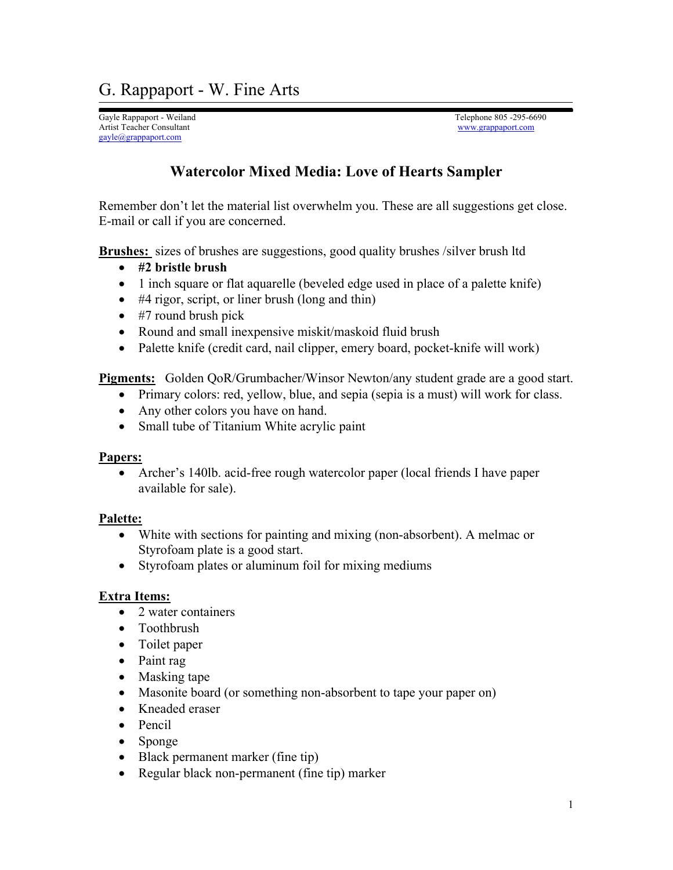Gayle Rappaport - Weiland Telephone 805 -295-6690 Artist Teacher Consultant [www.grappaport.com](http://www.grappaport.com/) [gayle@grappaport.com](mailto:gayle@grappaport.com)

## **Watercolor Mixed Media: Love of Hearts Sampler**

Remember don't let the material list overwhelm you. These are all suggestions get close. E-mail or call if you are concerned.

**Brushes:** sizes of brushes are suggestions, good quality brushes /silver brush ltd

- **#2 bristle brush**
- 1 inch square or flat aquarelle (beveled edge used in place of a palette knife)
- #4 rigor, script, or liner brush (long and thin)
- #7 round brush pick
- Round and small inexpensive miskit/maskoid fluid brush
- Palette knife (credit card, nail clipper, emery board, pocket-knife will work)

**Pigments:** Golden QoR/Grumbacher/Winsor Newton/any student grade are a good start.

- Primary colors: red, yellow, blue, and sepia (sepia is a must) will work for class.
- Any other colors you have on hand.
- Small tube of Titanium White acrylic paint

## **Papers:**

• Archer's 140lb. acid-free rough watercolor paper (local friends I have paper available for sale).

## **Palette:**

- White with sections for painting and mixing (non-absorbent). A melmac or Styrofoam plate is a good start.
- Styrofoam plates or aluminum foil for mixing mediums

## **Extra Items:**

- 2 water containers
- Toothbrush
- Toilet paper
- Paint rag
- Masking tape
- Masonite board (or something non-absorbent to tape your paper on)
- Kneaded eraser
- Pencil
- Sponge
- Black permanent marker (fine tip)
- Regular black non-permanent (fine tip) marker